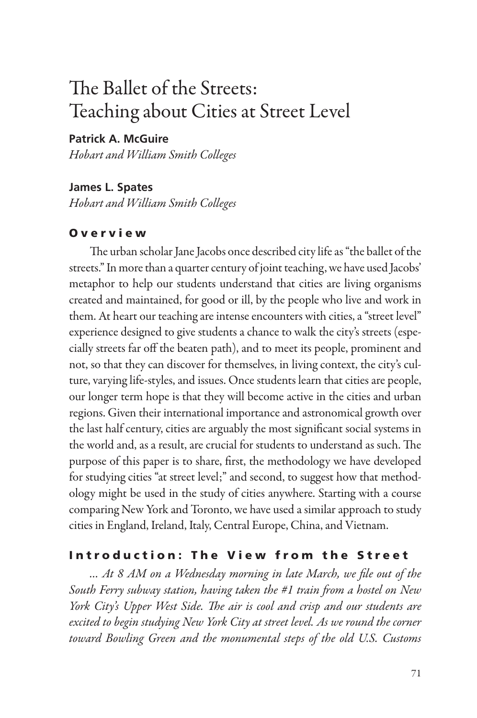# The Ballet of the Streets: Teaching about Cities at Street Level

## **Patrick A. McGuire**

*Hobart and William Smith Colleges*

#### **James L. Spates**

*Hobart and William Smith Colleges*

## O v e r v i e w

The urban scholar Jane Jacobs once described city life as "the ballet of the streets." In more than a quarter century of joint teaching, we have used Jacobs' metaphor to help our students understand that cities are living organisms created and maintained, for good or ill, by the people who live and work in them. At heart our teaching are intense encounters with cities, a "street level" experience designed to give students a chance to walk the city's streets (especially streets far off the beaten path), and to meet its people, prominent and not, so that they can discover for themselves, in living context, the city's culture, varying life-styles, and issues. Once students learn that cities are people, our longer term hope is that they will become active in the cities and urban regions. Given their international importance and astronomical growth over the last half century, cities are arguably the most significant social systems in the world and, as a result, are crucial for students to understand as such. The purpose of this paper is to share, first, the methodology we have developed for studying cities "at street level;" and second, to suggest how that methodology might be used in the study of cities anywhere. Starting with a course comparing New York and Toronto, we have used a similar approach to study cities in England, Ireland, Italy, Central Europe, China, and Vietnam.

#### Introduction: The View from the Street

*… At 8 AM on a Wednesday morning in late March, we file out of the South Ferry subway station, having taken the #1 train from a hostel on New York City's Upper West Side. The air is cool and crisp and our students are excited to begin studying New York City at street level. As we round the corner toward Bowling Green and the monumental steps of the old U.S. Customs*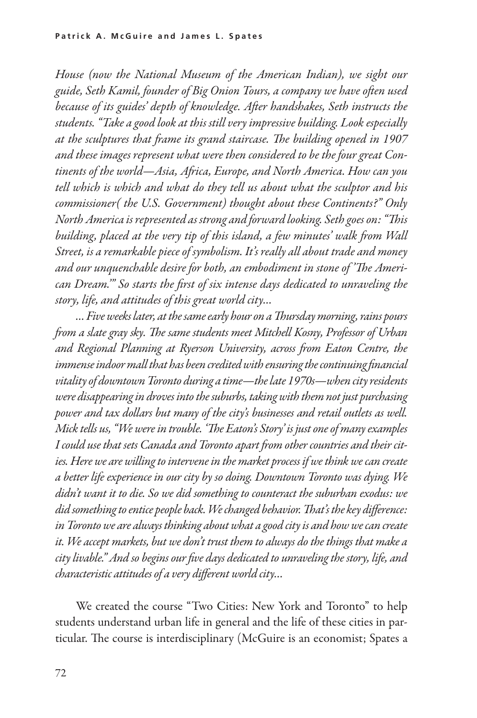*House (now the National Museum of the American Indian), we sight our guide, Seth Kamil, founder of Big Onion Tours, a company we have often used because of its guides' depth of knowledge. After handshakes, Seth instructs the students. "Take a good look at this still very impressive building. Look especially at the sculptures that frame its grand staircase. The building opened in 1907 and these images represent what were then considered to be the four great Continents of the world—Asia, Africa, Europe, and North America. How can you tell which is which and what do they tell us about what the sculptor and his commissioner( the U.S. Government) thought about these Continents?" Only North America is represented as strong and forward looking. Seth goes on: "This building, placed at the very tip of this island, a few minutes' walk from Wall Street, is a remarkable piece of symbolism. It's really all about trade and money and our unquenchable desire for both, an embodiment in stone of 'The American Dream.'" So starts the first of six intense days dedicated to unraveling the story, life, and attitudes of this great world city…*

*… Five weeks later, at the same early hour on a Thursday morning, rains pours from a slate gray sky. The same students meet Mitchell Kosny, Professor of Urban and Regional Planning at Ryerson University, across from Eaton Centre, the immense indoor mall that has been credited with ensuring the continuing financial vitality of downtown Toronto during a time—the late 1970s—when city residents were disappearing in droves into the suburbs, taking with them not just purchasing power and tax dollars but many of the city's businesses and retail outlets as well. Mick tells us, "We were in trouble. 'The Eaton's Story' is just one of many examples I could use that sets Canada and Toronto apart from other countries and their cities. Here we are willing to intervene in the market process if we think we can create a better life experience in our city by so doing. Downtown Toronto was dying. We didn't want it to die. So we did something to counteract the suburban exodus: we did something to entice people back. We changed behavior. That's the key difference: in Toronto we are always thinking about what a good city is and how we can create it. We accept markets, but we don't trust them to always do the things that make a city livable." And so begins our five days dedicated to unraveling the story, life, and characteristic attitudes of a very different world city…* 

We created the course "Two Cities: New York and Toronto" to help students understand urban life in general and the life of these cities in particular. The course is interdisciplinary (McGuire is an economist; Spates a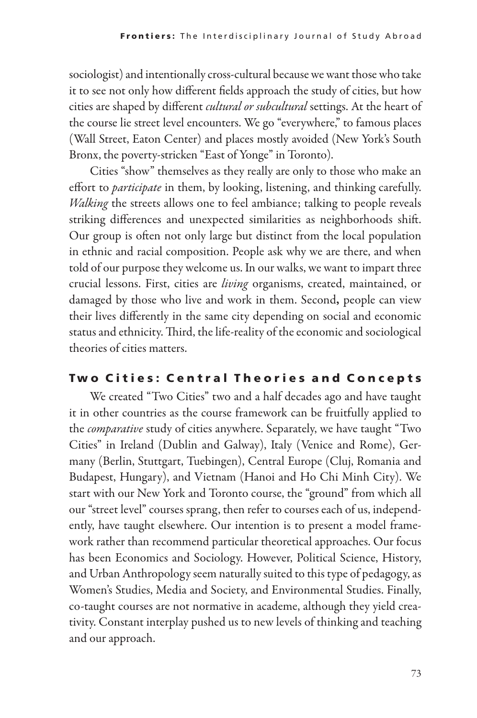sociologist) and intentionally cross-cultural because we want those who take it to see not only how different fields approach the study of cities, but how cities are shaped by different *cultural or subcultural* settings. At the heart of the course lie street level encounters. We go "everywhere," to famous places (Wall Street, Eaton Center) and places mostly avoided (New York's South Bronx, the poverty-stricken "East of Yonge" in Toronto).

Cities "show" themselves as they really are only to those who make an effort to *participate* in them, by looking, listening, and thinking carefully. *Walking* the streets allows one to feel ambiance; talking to people reveals striking differences and unexpected similarities as neighborhoods shift. Our group is often not only large but distinct from the local population in ethnic and racial composition. People ask why we are there, and when told of our purpose they welcome us. In our walks, we want to impart three crucial lessons. First, cities are *living* organisms, created, maintained, or damaged by those who live and work in them. Second, people can view their lives differently in the same city depending on social and economic status and ethnicity. Third, the life-reality of the economic and sociological theories of cities matters.

# Two Cities: Central Theories and Concepts

We created "Two Cities" two and a half decades ago and have taught it in other countries as the course framework can be fruitfully applied to the *comparative* study of cities anywhere. Separately, we have taught "Two Cities" in Ireland (Dublin and Galway), Italy (Venice and Rome), Germany (Berlin, Stuttgart, Tuebingen), Central Europe (Cluj, Romania and Budapest, Hungary), and Vietnam (Hanoi and Ho Chi Minh City). We start with our New York and Toronto course, the "ground" from which all our "street level" courses sprang, then refer to courses each of us, independently, have taught elsewhere. Our intention is to present a model framework rather than recommend particular theoretical approaches. Our focus has been Economics and Sociology. However, Political Science, History, and Urban Anthropology seem naturally suited to this type of pedagogy, as Women's Studies, Media and Society, and Environmental Studies. Finally, co-taught courses are not normative in academe, although they yield creativity. Constant interplay pushed us to new levels of thinking and teaching and our approach.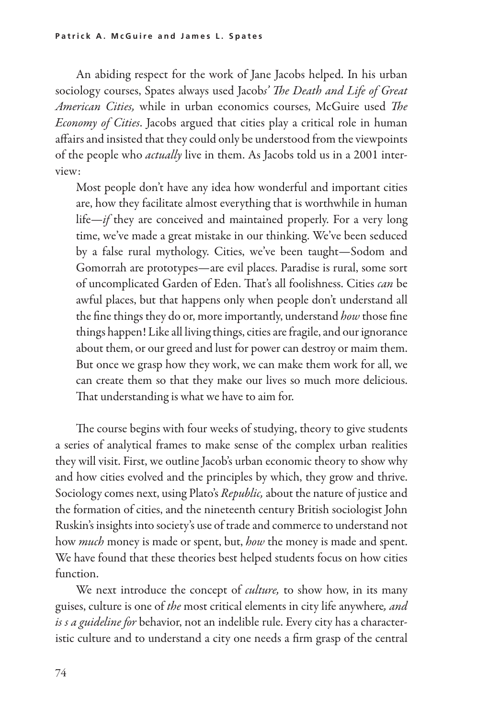An abiding respect for the work of Jane Jacobs helped. In his urban sociology courses, Spates always used Jacob*s' The Death and Life of Great American Cities,* while in urban economics courses, McGuire used *The Economy of Cities*. Jacobs argued that cities play a critical role in human affairs and insisted that they could only be understood from the viewpoints of the people who *actually* live in them. As Jacobs told us in a 2001 interview:

Most people don't have any idea how wonderful and important cities are, how they facilitate almost everything that is worthwhile in human life—*if* they are conceived and maintained properly. For a very long time, we've made a great mistake in our thinking. We've been seduced by a false rural mythology. Cities, we've been taught—Sodom and Gomorrah are prototypes—are evil places. Paradise is rural, some sort of uncomplicated Garden of Eden. That's all foolishness. Cities *can* be awful places, but that happens only when people don't understand all the fine things they do or, more importantly, understand *how* those fine things happen! Like all living things, cities are fragile, and our ignorance about them, or our greed and lust for power can destroy or maim them. But once we grasp how they work, we can make them work for all, we can create them so that they make our lives so much more delicious. That understanding is what we have to aim for.

The course begins with four weeks of studying, theory to give students a series of analytical frames to make sense of the complex urban realities they will visit. First, we outline Jacob's urban economic theory to show why and how cities evolved and the principles by which, they grow and thrive. Sociology comes next, using Plato's *Republic,* about the nature of justice and the formation of cities, and the nineteenth century British sociologist John Ruskin's insights into society's use of trade and commerce to understand not how *much* money is made or spent, but, *how* the money is made and spent. We have found that these theories best helped students focus on how cities function.

We next introduce the concept of *culture,* to show how, in its many guises, culture is one of *the* most critical elements in city life anywhere*, and is s a guideline for* behavior, not an indelible rule. Every city has a character istic culture and to understand a city one needs a firm grasp of the central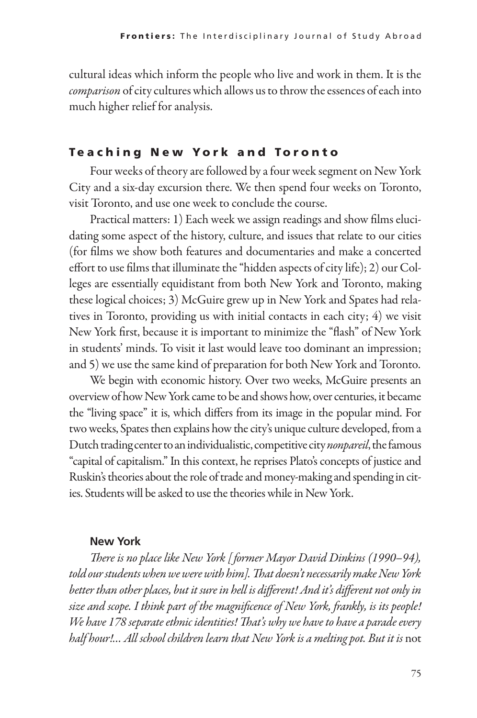cultural ideas which inform the people who live and work in them. It is the *comparison* of city cultures which allows us to throw the essences of each into much higher relief for analysis.

#### **Teaching New York and Toronto**

Four weeks of theory are followed by a four week segment on New York City and a six-day excursion there. We then spend four weeks on Toronto, visit Toronto, and use one week to conclude the course.

Practical matters: 1) Each week we assign readings and show films elucidating some aspect of the history, culture, and issues that relate to our cities (for films we show both features and documentaries and make a concerted effort to use films that illuminate the "hidden aspects of city life); 2) our Colleges are essentially equidistant from both New York and Toronto, making these logical choices; 3) McGuire grew up in New York and Spates had relatives in Toronto, providing us with initial contacts in each city; 4) we visit New York first, because it is important to minimize the "flash" of New York in students' minds. To visit it last would leave too dominant an impression; and 5) we use the same kind of preparation for both New York and Toronto.

We begin with economic history. Over two weeks, McGuire presents an overview of how New York came to be and shows how, over centuries, it became the "living space" it is, which differs from its image in the popular mind. For two weeks, Spates then explains how the city's unique culture developed, from a Dutch trading center to an individualistic, competitive city *nonpareil*, the famous "capital of capitalism." In this context, he reprises Plato's concepts of justice and Ruskin's theories about the role of trade and money-making and spending in cit ies. Students will be asked to use the theories while in New York.

#### **New York**

*There is no place like New York [ former Mayor David Dinkins (1990–94), told our students when we were with him]. That doesn't necessarily make New York better than other places, but it sure in hell is different! And it's different not only in size and scope. I think part of the magnificence of New York, frankly, is its people! We have 178 separate ethnic identities! That's why we have to have a parade every*  half hour!... All school children learn that New York is a melting pot. But it is not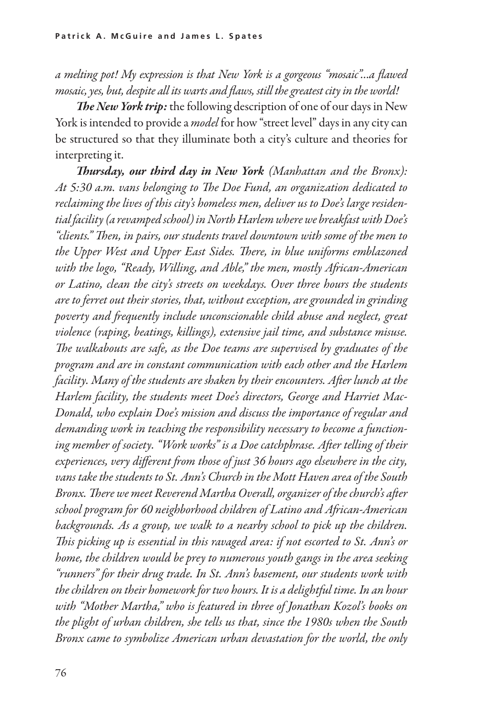*a melting pot! My expression is that New York is a gorgeous "mosaic"…a flawed mosaic, yes, but, despite all its warts and flaws, still the greatest city in the world!* 

*The New York trip:* the following description of one of our days in New York is intended to provide a *model* for how "street level" days in any city can be structured so that they illuminate both a city's culture and theories for interpreting it.

*Thursday, our third day in New York (Manhattan and the Bronx): At 5:30 a.m. vans belonging to The Doe Fund, an organization dedicated to reclaiming the lives of this city's homeless men, deliver us to Doe's large residential facility (a revamped school) in North Harlem where we breakfast with Doe's "clients." Then, in pairs, our students travel downtown with some of the men to the Upper West and Upper East Sides. There, in blue uniforms emblazoned with the logo, "Ready, Willing, and Able," the men, mostly African-American or Latino, clean the city's streets on weekdays. Over three hours the students are to ferret out their stories, that, without exception, are grounded in grinding poverty and frequently include unconscionable child abuse and neglect, great violence (raping, beatings, killings), extensive jail time, and substance misuse. The walkabouts are safe, as the Doe teams are supervised by graduates of the program and are in constant communication with each other and the Harlem facility. Many of the students are shaken by their encounters. After lunch at the Harlem facility, the students meet Doe's directors, George and Harriet Mac-Donald, who explain Doe's mission and discuss the importance of regular and demanding work in teaching the responsibility necessary to become a functioning member of society. "Work works" is a Doe catchphrase. After telling of their experiences, very different from those of just 36 hours ago elsewhere in the city, vans take the students to St. Ann's Church in the Mott Haven area of the South Bronx. There we meet Reverend Martha Overall, organizer of the church's after school program for 60 neighborhood children of Latino and African-American*  backgrounds. As a group, we walk to a nearby school to pick up the children. *This picking up is essential in this ravaged area: if not escorted to St. Ann's or home, the children would be prey to numerous youth gangs in the area seeking "runners" for their drug trade. In St. Ann's basement, our students work with the children on their homework for two hours. It is a delightful time. In an hour with "Mother Martha," who is featured in three of Jonathan Kozol's books on the plight of urban children, she tells us that, since the 1980s when the South Bronx came to symbolize American urban devastation for the world, the only*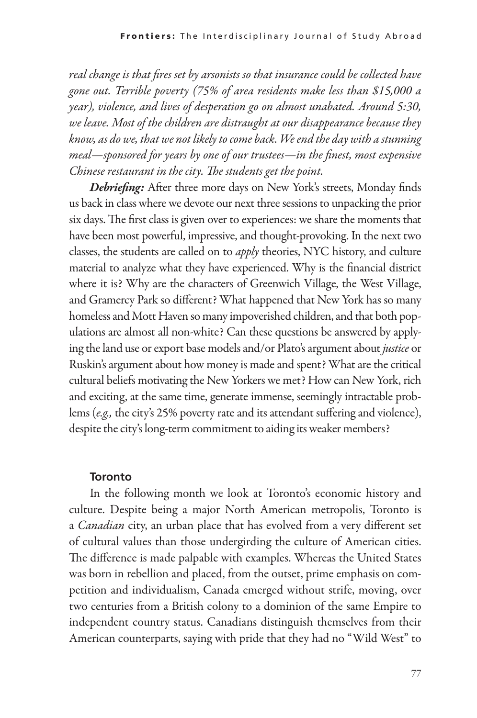*real change is that fires set by arsonists so that insurance could be collected have gone out. Terrible poverty (75% of area residents make less than \$15,000 a year), violence, and lives of desperation go on almost unabated. Around 5:30, we leave. Most of the children are distraught at our disappearance because they know, as do we, that we not likely to come back. We end the day with a stunning meal—sponsored for years by one of our trustees—in the finest, most expensive Chinese restaurant in the city. The students get the point.*

*Debriefing:* After three more days on New York's streets, Monday finds us back in class where we devote our next three sessions to unpacking the prior six days. The first class is given over to experiences: we share the moments that have been most powerful, impressive, and thought-provoking. In the next two classes, the students are called on to *apply* theories, NYC history, and culture material to analyze what they have experienced. Why is the financial district where it is? Why are the characters of Greenwich Village, the West Village, and Gramercy Park so different? What happened that New York has so many homeless and Mott Haven so many impoverished children, and that both populations are almost all non-white? Can these questions be answered by apply ing the land use or export base models and/or Plato's argument about *justice* or Ruskin's argument about how money is made and spent? What are the critical cultural beliefs motivating the New Yorkers we met? How can New York, rich and exciting, at the same time, generate immense, seemingly intractable problems (*e.g.,* the city's 25% poverty rate and its attendant suffering and violence), despite the city's long-term commitment to aiding its weaker members?

#### **Toronto**

In the following month we look at Toronto's economic history and culture. Despite being a major North American metropolis, Toronto is a *Canadian* city, an urban place that has evolved from a very different set of cultural values than those undergirding the culture of American cities. The difference is made palpable with examples. Whereas the United States was born in rebellion and placed, from the outset, prime emphasis on competition and individualism, Canada emerged without strife, moving, over two centuries from a British colony to a dominion of the same Empire to independent country status. Canadians distinguish themselves from their American counterparts, saying with pride that they had no "Wild West" to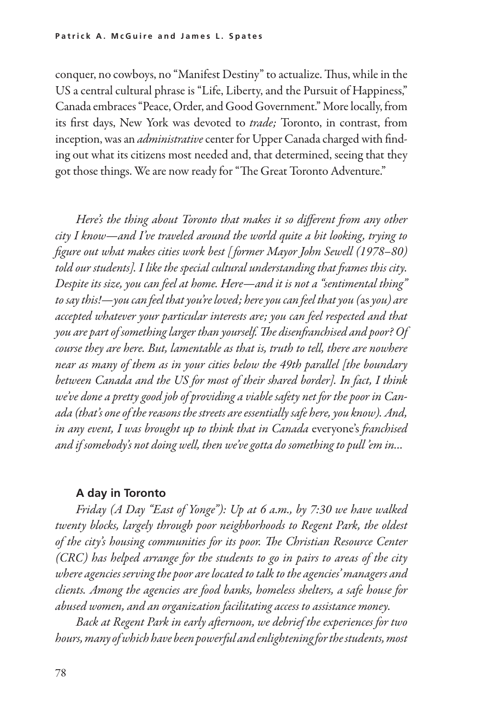conquer, no cowboys, no "Manifest Destiny" to actualize. Thus, while in the US acentral cultural phrase is "Life, Liberty, and the Pursuit of Happiness," Canada embraces "Peace, Order, and Good Government." More locally, from its first days, New York was devoted to *trade;* Toronto, in contrast, from inception, was an *administrative* center for Upper Canada charged with find ing out what its citizens most needed and, that determined, seeing that they got those things. We are now ready for "The Great Toronto Adventure."

*Here's the thing about Toronto that makes it so different from any other city I know—and I've traveled around the world quite a bit looking, trying to figure out what makes cities work best [ former Mayor John Sewell (1978–80) told our students]. I like the special cultural understanding that frames this city. Despite its size, you can feel at home. Here—and it is not a "sentimental thing" to say this!—you can feel that you're loved; here you can feel that you (*as *you) are accepted whatever your particular interests are; you can feel respected and that you are part of something larger than yourself. The disenfranchised and poor? Of course they are here. But, lamentable as that is, truth to tell, there are nowhere near as many of them as in your cities below the 49th parallel [the boundary between Canada and the US for most of their shared border]. In fact, I think we've done a pretty good job of providing a viable safety net for the poor in Canada (that's one of the reasons the streets are essentially safe here, you know). And, in any event, I was brought up to think that in Canada* everyone's *franchised and if somebody's not doing well, then we've gotta do something to pull 'em in…*

#### **A day in Toronto**

*Friday (A Day "East of Yonge"): Up at 6 a.m., by 7:30 we have walked twenty blocks, largely through poor neighborhoods to Regent Park, the oldest of the city's housing communities for its poor. The Christian Resource Center (CRC) has helped arrange for the students to go in pairs to areas of the city where agencies serving the poor are located to talk to the agencies' managers and clients. Among the agencies are food banks, homeless shelters, a safe house for abused women, and an organization facilitating access to assistance money.* 

*Back at Regent Park in early afternoon, we debrief the experiences for two hours, many of which have been powerful and enlightening for the students, most*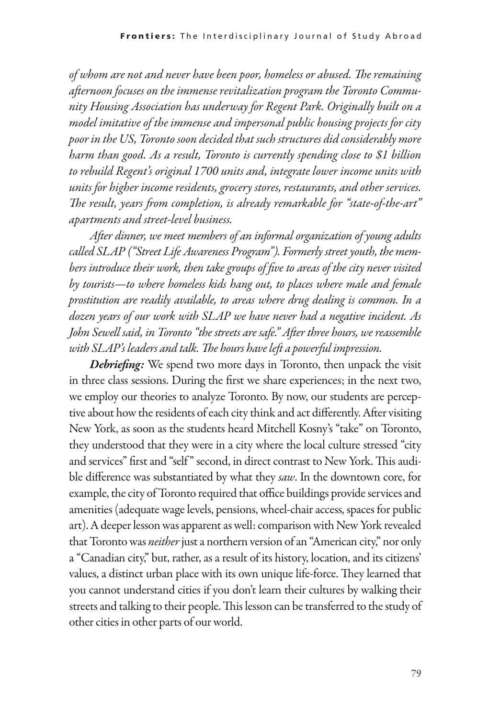*of whom are not and never have been poor, homeless or abused. The remaining afternoon focuses on the immense revitalization program the Toronto Community Housing Association has underway for Regent Park. Originally built on a model imitative of the immense and impersonal public housing projects for city poor in the US, Toronto soon decided that such structures did considerably more harm than good. As a result, Toronto is currently spending close to \$1 billion to rebuild Regent's original 1700 units and, integrate lower income units with units for higher income residents, grocery stores, restaurants, and other services. The result, years from completion, is already remarkable for "state-of-the-art" apartments and street-level business.* 

*After dinner, we meet members of an informal organization of young adults called SLAP ("Street Life Awareness Program"). Formerly street youth, the members introduce their work, then take groups of five to areas of the city never visited by tourists—to where homeless kids hang out, to places where male and female prostitution are readily available, to areas where drug dealing is common. In a dozen years of our work with SLAP we have never had a negative incident. As John Sewell said, in Toronto "the streets are safe." After three hours, we reassemble with SLAP's leaders and talk. The hours have left a powerful impression.* 

*Debriefing:* We spend two more days in Toronto, then unpack the visit in three class sessions. During the first we share experiences; in the next two, we employ our theories to analyze Toronto. By now, our students are perceptive about how the residents of each city think and act differently. After visiting New York, as soon as the students heard Mitchell Kosny's "take" on Toronto, they understood that they were in a city where the local culture stressed "city and services" first and "self " second, in direct contrast to New York. This audible difference was substantiated by what they *saw*. In the downtown core, for example, the city of Toronto required that office buildings provide services and amenities (adequate wage levels, pensions, wheel-chair access, spaces for public art). A deeper lesson was apparent as well: comparison with New York revealed that Toronto was *neither* just a northern version of an "American city," nor only a "Canadian city," but, rather, as a result of its history, location, and its citizens' values, a distinct urban place with its own unique life-force. They learned that you cannot understand cities if you don't learn their cultures by walking their streets and talking to their people. This lesson can be transferred to the study of other cities in other parts of our world.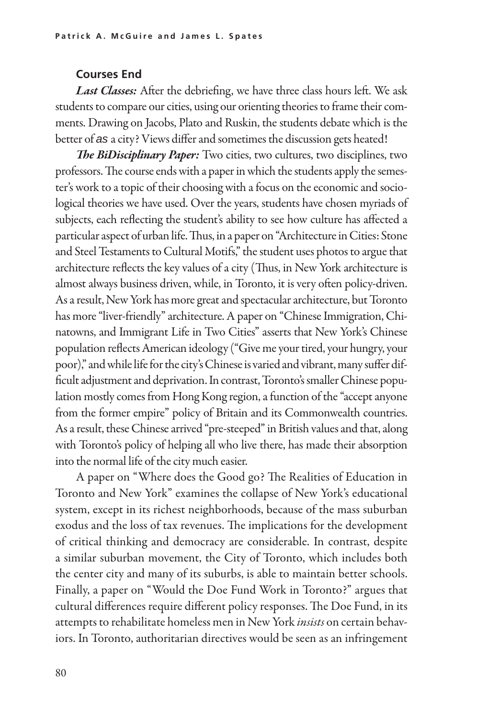#### **Courses End**

*Last Classes:* After the debriefing, we have three class hours left. We ask students to compare our cities, using our orienting theories to frame their comments. Drawing on Jacobs, Plato and Ruskin, the students debate which is the better of *as* a city? Views differ and sometimes the discussion gets heated!

*The BiDisciplinary Paper:* Two cities, two cultures, two disciplines, two professors. The course ends with a paper in which the students apply the semester's work to a topic of their choosing with a focus on the economic and sociological theories we have used. Over the years, students have chosen myriads of subjects, each reflecting the student's ability to see how culture has affected a particular aspect of urban life. Thus, in a paper on "Architecture in Cities: Stone and Steel Testaments to Cultural Motifs," the student uses photos to argue that architecture reflects the key values of a city (Thus, in New York architecture is almost always business driven, while, in Toronto, it is very often policy-driven. As a result, New York has more great and spectacular architecture, but Toronto has more "liver-friendly" architecture. A paper on "Chinese Immigration, Chinatowns, and Immigrant Life in Two Cities" asserts that New York's Chinese population reflects American ideology ("Give me your tired, your hungry, your poor)," and while life for the city's Chinese is varied and vibrant, many suffer difficult adjustment and deprivation. In contrast, Toronto's smaller Chinese population mostly comes from Hong Kong region, a function of the "accept anyone from the former empire" policy of Britain and its Commonwealth countries. As a result, these Chinese arrived "pre-steeped" in British values and that, along with Toronto's policy of helping all who live there, has made their absorption into the normal life of the city much easier.

A paper on "Where does the Good go? The Realities of Education in Toronto and New York" examines the collapse of New York's educational system, except in its richest neighborhoods, because of the mass suburban exodus and the loss of tax revenues. The implications for the development of critical thinking and democracy are considerable. In contrast, despite a similar suburban movement, the City of Toronto, which includes both the center city and many of its suburbs, is able to maintain better schools. Finally, a paper on "Would the Doe Fund Work in Toronto?" argues that cultural differences require different policy responses. The Doe Fund, in its attempts to rehabilitate homeless men in New York *insists* on certain behav iors. In Toronto, authoritarian directives would be seen as an infringement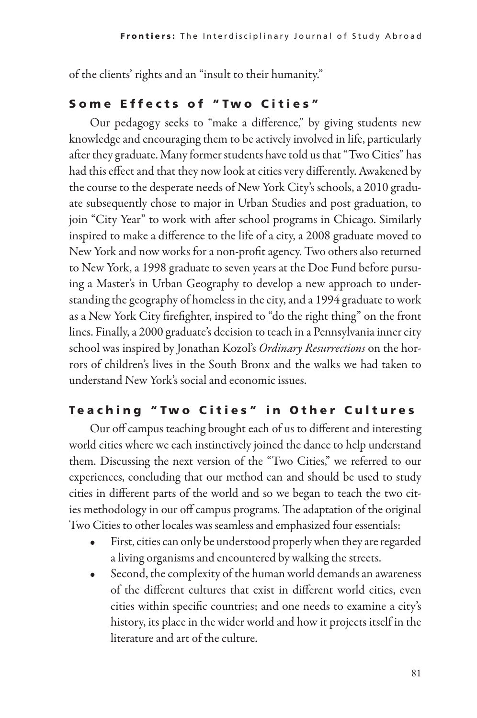of the clients' rights and an "insult to their humanity."

## Some Effects of "Two Cities"

Our pedagogy seeks to "make a difference," by giving students new knowledge and encouraging them to be actively involved in life, particularly after they graduate. Many former students have told us that "Two Cities" has had this effect and that they now look at cities very differently. Awakened by the course to the desperate needs of New York City's schools, a 2010 graduate subsequently chose to major in Urban Studies and post graduation, to join "City Year" to work with after school programs in Chicago. Similarly inspired to make a difference to the life of a city, a 2008 graduate moved to New York and now works for a non-profit agency. Two others also returned to New York, a 1998 graduate to seven years at the Doe Fund before pursu ing a Master's in Urban Geography to develop a new approach to understanding the geography of homeless in the city, and a 1994 graduate to work as a New York City firefighter, inspired to "do the right thing" on the front lines. Finally, a 2000 graduate's decision to teach in a Pennsylvania inner city school was inspired by Jonathan Kozol's *Ordinary Resurrections* on the horrors of children's lives in the South Bronx and the walks we had taken to understand New York's social and economic issues.

## Teaching "Two Cities" in Other Cultures

Our off campus teaching brought each of us to different and interesting world cities where we each instinctively joined the dance to help understand them. Discussing the next version of the "Two Cities," we referred to our experiences, concluding that our method can and should be used to study cities in different parts of the world and so we began to teach the two cit ies methodology in our off campus programs. The adaptation of the original Two Cities to other locales was seamless and emphasized four essentials:

- First, cities can only be understood properly when they are regarded a living organisms and encountered by walking the streets.
- Second, the complexity of the human world demands an awareness of the different cultures that exist in different world cities, even cities within specific countries; and one needs to examine a city's history, its place in the wider world and how it projects itself in the literature and art of the culture.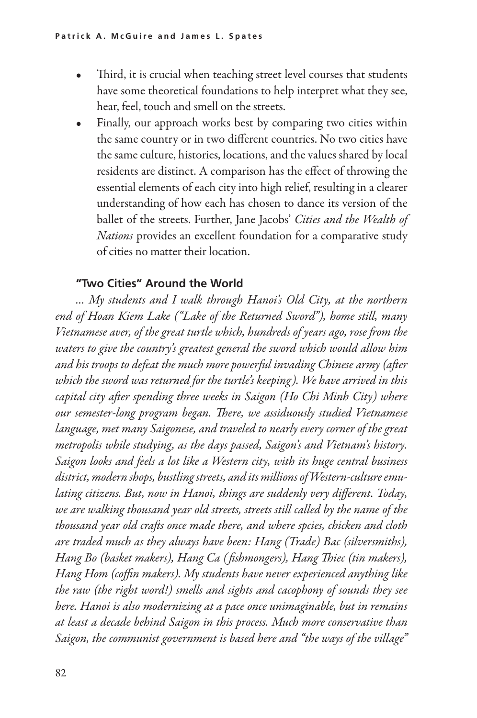- Third, it is crucial when teaching street level courses that students have some theoretical foundations to help interpret what they see, hear, feel, touch and smell on the streets.
- Finally, our approach works best by comparing two cities within the same country or in two different countries. No two cities have the same culture, histories, locations, and the values shared by local residents are distinct. A comparison has the effect of throwing the essential elements of each city into high relief, resulting in a clearer understanding of how each has chosen to dance its version of the ballet of the streets. Further, Jane Jacobs' *Cities and the Wealth of Nations* provides an excellent foundation for a comparative study of cities no matter their location.

## **"Two Cities" Around the World**

*… My students and I walk through Hanoi's Old City, at the northern end of Hoan Kiem Lake ("Lake of the Returned Sword"), home still, many Vietnamese aver, of the great turtle which, hundreds of years ago, rose from the waters to give the country's greatest general the sword which would allow him and his troops to defeat the much more powerful invading Chinese army (after which the sword was returned for the turtle's keeping). We have arrived in this capital city after spending three weeks in Saigon (Ho Chi Minh City) where our semester-long program began. There, we assiduously studied Vietnamese language, met many Saigonese, and traveled to nearly every corner of the great metropolis while studying, as the days passed, Saigon's and Vietnam's history. Saigon looks and feels a lot like a Western city, with its huge central business district, modern shops, bustling streets, and its millions of Western-culture emulating citizens. But, now in Hanoi, things are suddenly very different. Today, we are walking thousand year old streets, streets still called by the name of the thousand year old crafts once made there, and where spcies, chicken and cloth are traded much as they always have been: Hang (Trade) Bac (silversmiths), Hang Bo (basket makers), Hang Ca ( fishmongers), Hang Thiec (tin makers), Hang Hom (coffin makers). My students have never experienced anything like the raw (the right word!) smells and sights and cacophony of sounds they see here. Hanoi is also modernizing at a pace once unimaginable, but in remains at least a decade behind Saigon in this process. Much more conservative than Saigon, the communist government is based here and "the ways of the village"*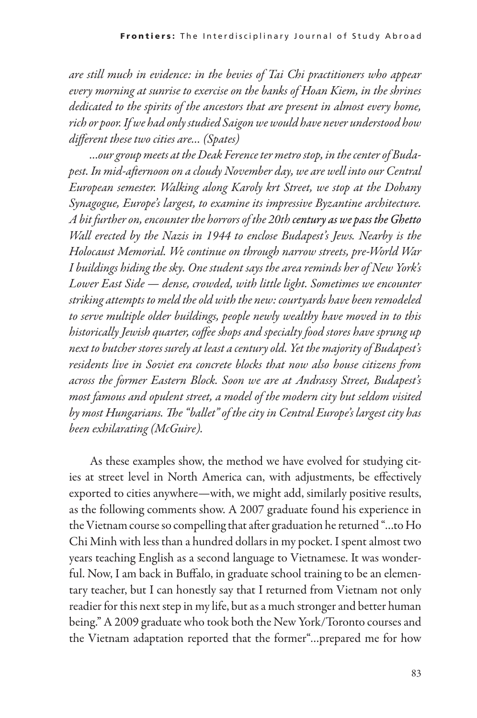*are still much in evidence: in the bevies of Tai Chi practitioners who appear every morning at sunrise to exercise on the banks of Hoan Kiem, in the shrines dedicated to the spirits of the ancestors that are present in almost every home, rich or poor. If we had only studied Saigon we would have never understood how different these two cities are… (Spates)*

*…our group meets at the Deak Ference ter metro stop, in the center of Budapest. In mid-afternoon on a cloudy November day, we are well into our Central European semester. Walking along Karoly krt Street, we stop at the Dohany Synagogue, Europe's largest, to examine its impressive Byzantine architecture. A bit further on, encounter the horrors of the 20th century as we pass the Ghetto Wall erected by the Nazis in 1944 to enclose Budapest's Jews. Nearby is the Holocaust Memorial. We continue on through narrow streets, pre-World War I buildings hiding the sky. One student says the area reminds her of New York's Lower East Side — dense, crowded, with little light. Sometimes we encounter striking attempts to meld the old with the new: courtyards have been remodeled to serve multiple older buildings, people newly wealthy have moved in to this historically Jewish quarter, coffee shops and specialty food stores have sprung up next to butcher stores surely at least a century old. Yet the majority of Budapest's residents live in Soviet era concrete blocks that now also house citizens from across the former Eastern Block. Soon we are at Andrassy Street, Budapest's most famous and opulent street, a model of the modern city but seldom visited by most Hungarians. The "ballet" of the city in Central Europe's largest city has been exhilarating (McGuire).* 

As these examples show, the method we have evolved for studying cit ies at street level in North America can, with adjustments, be effectively exported to cities anywhere—with, we might add, similarly positive results, as the following comments show. A 2007 graduate found his experience in the Vietnam course so compelling that after graduation he returned "…to Ho Chi Minh with less than a hundred dollars in my pocket. I spent almost two years teaching English as a second language to Vietnamese. It was wonderful. Now, I am back in Buffalo, in graduate school training to be an elementary teacher, but I can honestly say that I returned from Vietnam not only readier for this next step in my life, but as a much stronger and better human being." A 2009 graduate who took both the New York/Toronto courses and the Vietnam adaptation reported that the former"…prepared me for how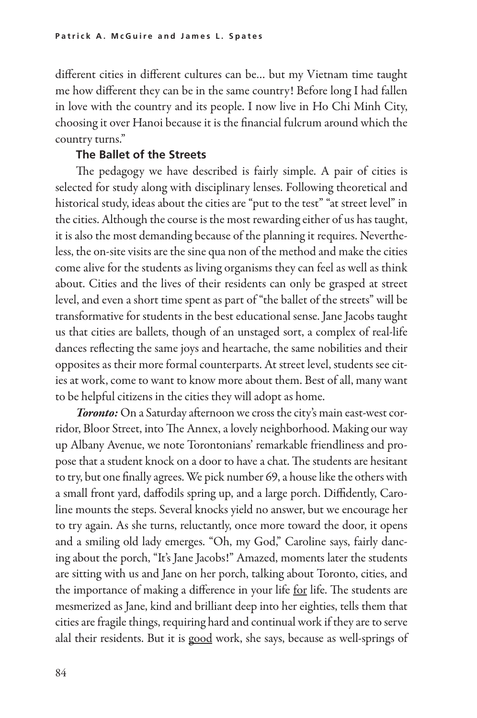different cities in different cultures can be… but my Vietnam time taught me how different they can be in the same country! Before long I had fallen in love with the country and its people. I now live in Ho Chi Minh City, choosing it over Hanoi because it is the financial fulcrum around which the country turns."

#### **The Ballet of the Streets**

The pedagogy we have described is fairly simple. A pair of cities is selected for study along with disciplinary lenses. Following theoretical and historical study, ideas about the cities are "put to the test" "at street level" in the cities. Although the course is the most rewarding either of us has taught, it is also the most demanding because of the planning it requires. Nevertheless, the on-site visits are the sine qua non of the method and make the cities come alive for the students as living organisms they can feel as well as think about. Cities and the lives of their residents can only be grasped at street level, and even a short time spent as part of "the ballet of the streets" will be transformative for students in the best educational sense. Jane Jacobs taught us that cities are ballets, though of an unstaged sort, a complex of real-life dances reflecting the same joys and heartache, the same nobilities and their opposites as their more formal counterparts. At street level, students see cit ies at work, come to want to know more about them. Best of all, many want to be helpful citizens in the cities they will adopt as home.

*Toronto:* On a Saturday afternoon we cross the city's main east-west corridor, Bloor Street, into The Annex, a lovely neighborhood. Making our way up Albany Avenue, we note Torontonians' remarkable friendliness and propose that a student knock on a door to have a chat. The students are hesitant to try, but one finally agrees. We pick number 69, a house like the others with a small front yard, daffodils spring up, and a large porch. Diffidently, Caroline mounts the steps. Several knocks yield no answer, but we encourage her to try again. As she turns, reluctantly, once more toward the door, it opens and a smiling old lady emerges. "Oh, my God," Caroline says, fairly dancing about the porch, "It's Jane Jacobs!" Amazed, moments later the students are sitting with us and Jane on her porch, talking about Toronto, cities, and the importance of making a difference in your life for life. The students are mesmerized as Jane, kind and brilliant deep into her eighties, tells them that cities are fragile things, requiring hard and continual work if they are to serve alal their residents. But it is good work, she says, because as well-springs of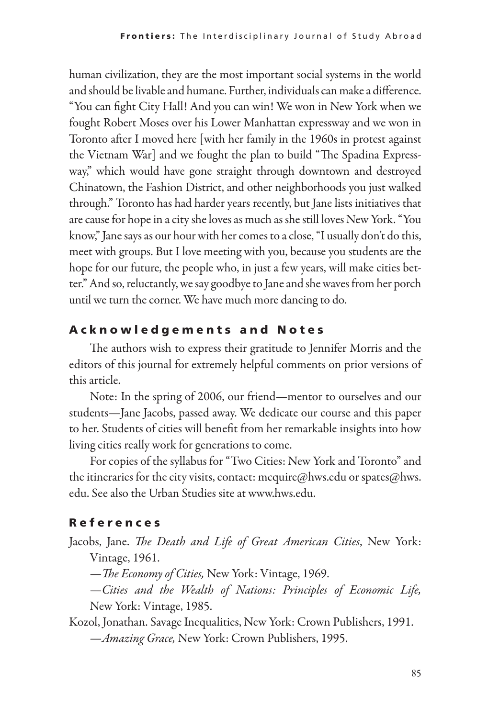human civilization, they are the most important social systems in the world and should be livable and humane. Further, individuals can make a difference. "You can fight City Hall! And you can win! We won in New York when we fought Robert Moses over his Lower Manhattan expressway and we won in Toronto after I moved here [with her family in the 1960s in protest against the Vietnam War] and we fought the plan to build "The Spadina Expressway," which would have gone straight through downtown and destroyed Chinatown, the Fashion District, and other neighborhoods you just walked through." Toronto has had harder years recently, but Jane lists initiatives that are cause for hope in a city she loves as much as she still loves New York. "You know," Jane says as our hour with her comes to a close, "I usually don't do this, meet with groups. But I love meeting with you, because you students are the hope for our future, the people who, in just a few years, will make cities better." And so, reluctantly, we say goodbye to Jane and she waves from her porch until we turn the corner. We have much more dancing to do.

## A c k n o w l e d g e m e n t s a n d N o t e s

The authors wish to express their gratitude to Jennifer Morris and the editors of this journal for extremely helpful comments on prior versions of this article.

Note: In the spring of 2006, our friend—mentor to ourselves and our students—Jane Jacobs, passed away. We dedicate our course and this paper to her. Students of cities will benefit from her remarkable insights into how living cities really work for generations to come.

For copies of the syllabus for "Two Cities: New York and Toronto" and the itineraries for the city visits, contact: mcquire@hws.edu or spates@hws. edu. See also the Urban Studies site at www.hws.edu.

# R e f e r e n c e s

- Jacobs, Jane. *The Death and Life of Great American Cities*, New York: Vintage, 1961.
	- —*The Economy of Cities,* New York: Vintage, 1969.
	- —*Cities and the Wealth of Nations: Principles of Economic Life,* New York: Vintage, 1985.

Kozol, Jonathan. Savage Inequalities, New York: Crown Publishers, 1991.

—*Amazing Grace,* New York: Crown Publishers, 1995.